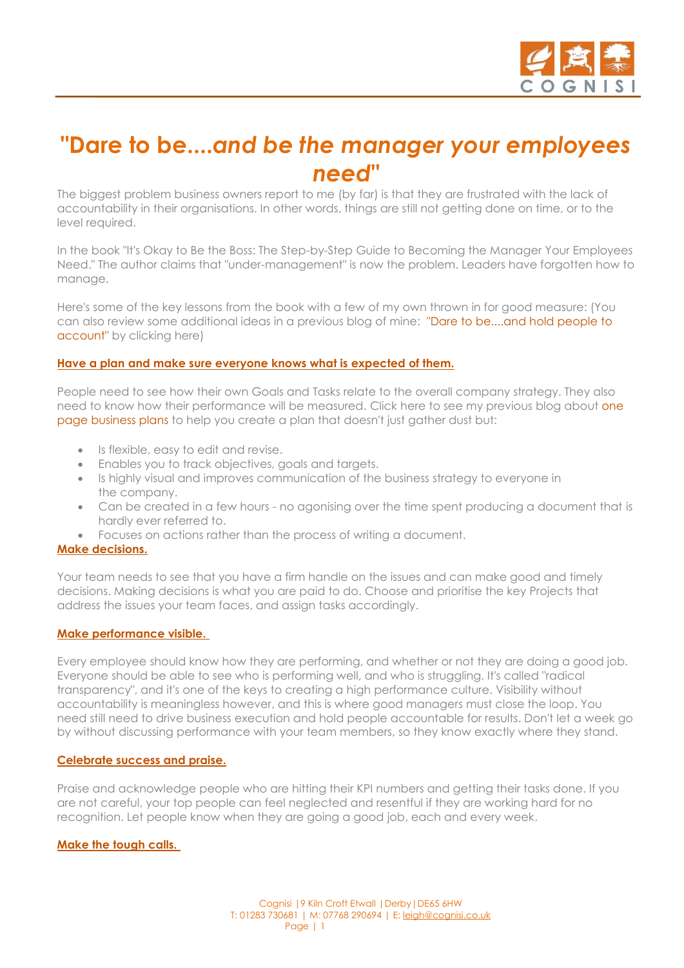

# **"Dare to be....***and be the manager your employees need"*

The biggest problem business owners report to me (by far) is that they are frustrated with the lack of accountability in their organisations. In other words, things are still not getting done on time, or to the level required.

In the book "It's Okay to Be the Boss: The Step-by-Step Guide to Becoming the Manager Your Employees Need." The author claims that "under-management" is now the problem. Leaders have forgotten how to manage.

Here's some of the key lessons from the book with a few of my own thrown in for good measure: (You can also review some additional ideas in a previous blog of mine: "Dare to be....and hold people to account" by [clicking here\)](http://www.cognisi.co.uk/wp-content/uploads/2013/01/Dare-to-be....and-hold-people-accountable.pdf)

## **Have a plan and make sure everyone knows what is expected of them.**

People need to see how their own Goals and Tasks relate to the overall company strategy. They also need to know how their performance will be measured. [Click here](http://www.cognisi.co.uk/wp-content/uploads/2012/11/One-page-business-plans.pdf) to see my previous blog about one page business plans to help you create a plan that doesn't just gather dust but:

- Is flexible, easy to edit and revise.
- Enables you to track objectives, goals and targets.
- Is highly visual and improves communication of the business strategy to everyone in the company.
- Can be created in a few hours no agonising over the time spent producing a document that is hardly ever referred to.
- Focuses on actions rather than the process of writing a document.

## **Make decisions.**

Your team needs to see that you have a firm handle on the issues and can make good and timely decisions. Making decisions is what you are paid to do. Choose and prioritise the key Projects that address the issues your team faces, and assign tasks accordingly.

## **Make performance visible.**

Every employee should know how they are performing, and whether or not they are doing a good job. Everyone should be able to see who is performing well, and who is struggling. It's called "radical transparency", and it's one of the keys to creating a high performance culture. Visibility without accountability is meaningless however, and this is where good managers must close the loop. You need still need to drive business execution and hold people accountable for results. Don't let a week go by without discussing performance with your team members, so they know exactly where they stand.

#### **Celebrate success and praise.**

Praise and acknowledge people who are hitting their KPI numbers and getting their tasks done. If you are not careful, your top people can feel neglected and resentful if they are working hard for no recognition. Let people know when they are going a good job, each and every week.

## **Make the tough calls.**